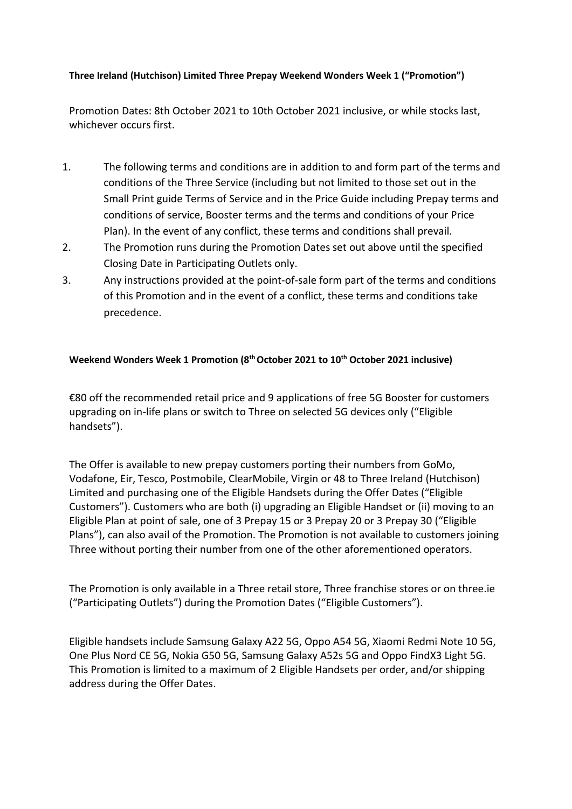## **Three Ireland (Hutchison) Limited Three Prepay Weekend Wonders Week 1 ("Promotion")**

Promotion Dates: 8th October 2021 to 10th October 2021 inclusive, or while stocks last, whichever occurs first.

- 1. The following terms and conditions are in addition to and form part of the terms and conditions of the Three Service (including but not limited to those set out in the Small Print guide Terms of Service and in the Price Guide including Prepay terms and conditions of service, Booster terms and the terms and conditions of your Price Plan). In the event of any conflict, these terms and conditions shall prevail.
- 2. The Promotion runs during the Promotion Dates set out above until the specified Closing Date in Participating Outlets only.
- 3. Any instructions provided at the point-of-sale form part of the terms and conditions of this Promotion and in the event of a conflict, these terms and conditions take precedence.

## **Weekend Wonders Week 1 Promotion (8th October 2021 to 10th October 2021 inclusive)**

€80 off the recommended retail price and 9 applications of free 5G Booster for customers upgrading on in-life plans or switch to Three on selected 5G devices only ("Eligible handsets").

The Offer is available to new prepay customers porting their numbers from GoMo, Vodafone, Eir, Tesco, Postmobile, ClearMobile, Virgin or 48 to Three Ireland (Hutchison) Limited and purchasing one of the Eligible Handsets during the Offer Dates ("Eligible Customers"). Customers who are both (i) upgrading an Eligible Handset or (ii) moving to an Eligible Plan at point of sale, one of 3 Prepay 15 or 3 Prepay 20 or 3 Prepay 30 ("Eligible Plans"), can also avail of the Promotion. The Promotion is not available to customers joining Three without porting their number from one of the other aforementioned operators.

The Promotion is only available in a Three retail store, Three franchise stores or on three.ie ("Participating Outlets") during the Promotion Dates ("Eligible Customers").

Eligible handsets include Samsung Galaxy A22 5G, Oppo A54 5G, Xiaomi Redmi Note 10 5G, One Plus Nord CE 5G, Nokia G50 5G, Samsung Galaxy A52s 5G and Oppo FindX3 Light 5G. This Promotion is limited to a maximum of 2 Eligible Handsets per order, and/or shipping address during the Offer Dates.